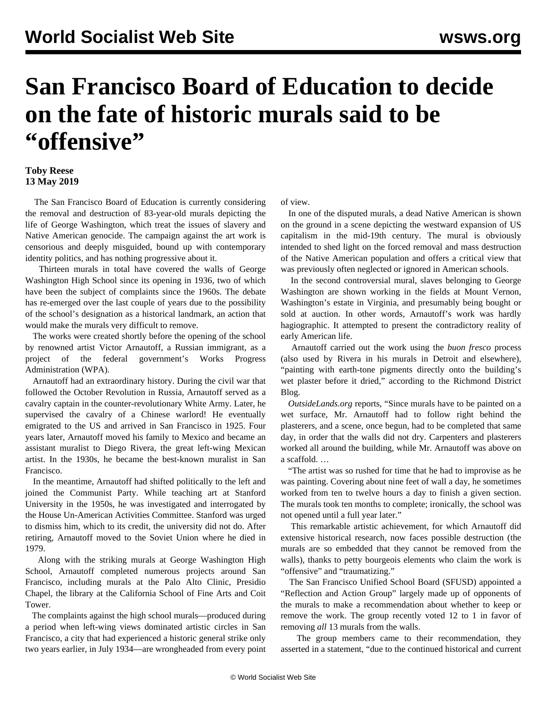## **San Francisco Board of Education to decide on the fate of historic murals said to be "offensive"**

## **Toby Reese 13 May 2019**

 The San Francisco Board of Education is currently considering the removal and destruction of 83-year-old murals depicting the life of George Washington, which treat the issues of slavery and Native American genocide. The campaign against the art work is censorious and deeply misguided, bound up with contemporary identity politics, and has nothing progressive about it.

 Thirteen murals in total have covered the walls of George Washington High School since its opening in 1936, two of which have been the subject of complaints since the 1960s. The debate has re-emerged over the last couple of years due to the possibility of the school's designation as a historical landmark, an action that would make the murals very difficult to remove.

 The works were created shortly before the opening of the school by renowned artist Victor Arnautoff, a Russian immigrant, as a project of the federal government's Works Progress Administration (WPA).

 Arnautoff had an extraordinary history. During the civil war that followed the October Revolution in Russia, Arnautoff served as a cavalry captain in the counter-revolutionary White Army. Later, he supervised the cavalry of a Chinese warlord! He eventually emigrated to the US and arrived in San Francisco in 1925. Four years later, Arnautoff moved his family to Mexico and became an assistant muralist to Diego Rivera, the great left-wing Mexican artist. In the 1930s, he became the best-known muralist in San Francisco.

 In the meantime, Arnautoff had shifted politically to the left and joined the Communist Party. While teaching art at Stanford University in the 1950s, he was investigated and interrogated by the House Un-American Activities Committee. Stanford was urged to dismiss him, which to its credit, the university did not do. After retiring, Arnautoff moved to the Soviet Union where he died in 1979.

 Along with the striking murals at George Washington High School, Arnautoff completed numerous projects around San Francisco, including murals at the Palo Alto Clinic, Presidio Chapel, the library at the California School of Fine Arts and Coit Tower.

 The complaints against the high school murals—produced during a period when left-wing views dominated artistic circles in San Francisco, a city that had experienced a historic general strike only two years earlier, in July 1934—are wrongheaded from every point of view.

 In one of the disputed murals, a dead Native American is shown on the ground in a scene depicting the westward expansion of US capitalism in the mid-19th century. The mural is obviously intended to shed light on the forced removal and mass destruction of the Native American population and offers a critical view that was previously often neglected or ignored in American schools.

 In the second controversial mural, slaves belonging to George Washington are shown working in the fields at Mount Vernon, Washington's estate in Virginia, and presumably being bought or sold at auction. In other words, Arnautoff's work was hardly hagiographic. It attempted to present the contradictory reality of early American life.

 Arnautoff carried out the work using the *buon fresco* process (also used by Rivera in his murals in Detroit and elsewhere), "painting with earth-tone pigments directly onto the building's wet plaster before it dried," according to the Richmond District Blog.

 *OutsideLands.org* reports, "Since murals have to be painted on a wet surface, Mr. Arnautoff had to follow right behind the plasterers, and a scene, once begun, had to be completed that same day, in order that the walls did not dry. Carpenters and plasterers worked all around the building, while Mr. Arnautoff was above on a scaffold. …

 "The artist was so rushed for time that he had to improvise as he was painting. Covering about nine feet of wall a day, he sometimes worked from ten to twelve hours a day to finish a given section. The murals took ten months to complete; ironically, the school was not opened until a full year later."

 This remarkable artistic achievement, for which Arnautoff did extensive historical research, now faces possible destruction (the murals are so embedded that they cannot be removed from the walls), thanks to petty bourgeois elements who claim the work is "offensive" and "traumatizing."

 The San Francisco Unified School Board (SFUSD) appointed a "Reflection and Action Group" largely made up of opponents of the murals to make a recommendation about whether to keep or remove the work. The group recently voted 12 to 1 in favor of removing *all* 13 murals from the walls.

 The group members came to their recommendation, they asserted in a statement, "due to the continued historical and current